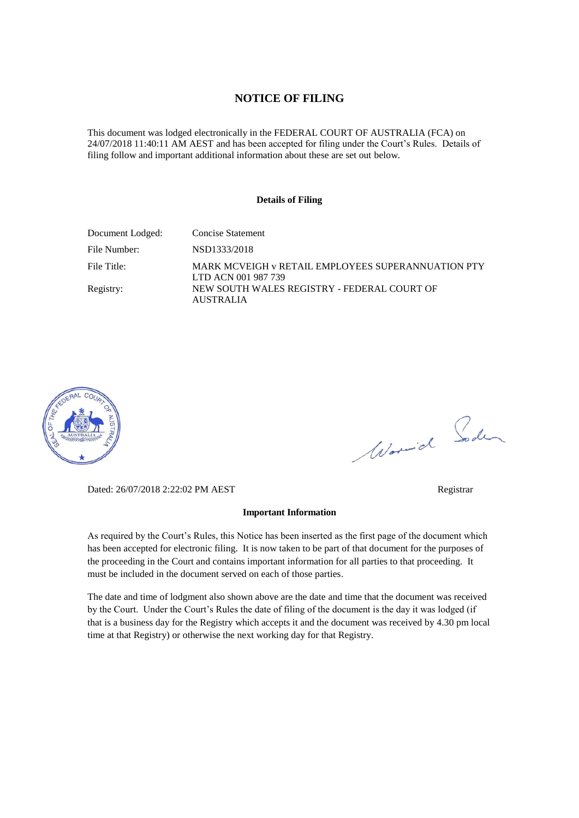#### **NOTICE OF FILING**

This document was lodged electronically in the FEDERAL COURT OF AUSTRALIA (FCA) on 24/07/2018 11:40:11 AM AEST and has been accepted for filing under the Court's Rules. Details of filing follow and important additional information about these are set out below.

#### **Details of Filing**

| Document Lodged: | Concise Statement                                                         |
|------------------|---------------------------------------------------------------------------|
| File Number:     | NSD1333/2018                                                              |
| File Title:      | MARK MCVEIGH v RETAIL EMPLOYEES SUPERANNUATION PTY<br>LTD ACN 001 987 739 |
| Registry:        | NEW SOUTH WALES REGISTRY - FEDERAL COURT OF<br><b>AUSTRALIA</b>           |



Worwich Soden

Dated: 26/07/2018 2:22:02 PM AEST Registrar

#### **Important Information**

As required by the Court's Rules, this Notice has been inserted as the first page of the document which has been accepted for electronic filing. It is now taken to be part of that document for the purposes of the proceeding in the Court and contains important information for all parties to that proceeding. It must be included in the document served on each of those parties.

The date and time of lodgment also shown above are the date and time that the document was received by the Court. Under the Court's Rules the date of filing of the document is the day it was lodged (if that is a business day for the Registry which accepts it and the document was received by 4.30 pm local time at that Registry) or otherwise the next working day for that Registry.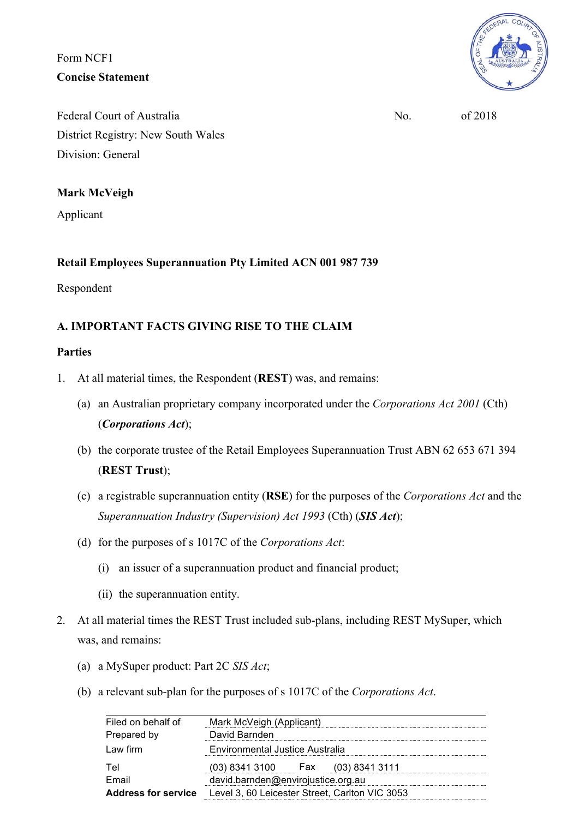Form NCF1 **Concise Statement**



Federal Court of Australia  $\overline{N_0}$  of 2018 District Registry: New South Wales Division: General

# **Mark McVeigh**

Applicant

# **Retail Employees Superannuation Pty Limited ACN 001 987 739**

Respondent

# **A. IMPORTANT FACTS GIVING RISE TO THE CLAIM**

# **Parties**

- 1. At all material times, the Respondent (**REST**) was, and remains:
	- (a) an Australian proprietary company incorporated under the *Corporations Act 2001* (Cth) (*Corporations Act*);
	- (b) the corporate trustee of the Retail Employees Superannuation Trust ABN 62 653 671 394 (**REST Trust**);
	- (c) a registrable superannuation entity (**RSE**) for the purposes of the *Corporations Act* and the *Superannuation Industry (Supervision) Act 1993* (Cth) (*SIS Act*);
	- (d) for the purposes of s 1017C of the *Corporations Act*:
		- (i) an issuer of a superannuation product and financial product;
		- (ii) the superannuation entity.
- 2. At all material times the REST Trust included sub-plans, including REST MySuper, which was, and remains:
	- (a) a MySuper product: Part 2C *SIS Act*;
	- (b) a relevant sub-plan for the purposes of s 1017C of the *Corporations Act*.

| Filed on behalf of         | Mark McVeigh (Applicant)                       |
|----------------------------|------------------------------------------------|
| Prepared by                | David Barnden                                  |
| $Law$ firm                 | Environmental Justice Australia                |
| Tel                        | $(03)$ 8341 3100 Fax $(03)$ 8341 3111          |
| Email                      | david.barnden@envirojustice.org.au             |
| <b>Address for service</b> | Level 3, 60 Leicester Street, Carlton VIC 3053 |
|                            |                                                |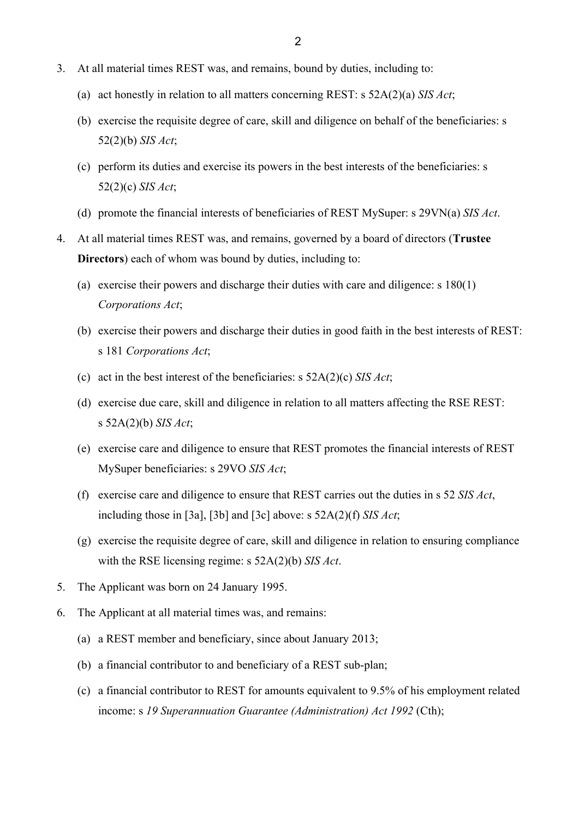- 3. At all material times REST was, and remains, bound by duties, including to:
	- (a) act honestly in relation to all matters concerning REST: s 52A(2)(a) *SIS Act*;
	- (b) exercise the requisite degree of care, skill and diligence on behalf of the beneficiaries: s 52(2)(b) *SIS Act*;
	- (c) perform its duties and exercise its powers in the best interests of the beneficiaries: s 52(2)(c) *SIS Act*;
	- (d) promote the financial interests of beneficiaries of REST MySuper: s 29VN(a) *SIS Act*.
- 4. At all material times REST was, and remains, governed by a board of directors (**Trustee Directors**) each of whom was bound by duties, including to:
	- (a) exercise their powers and discharge their duties with care and diligence: s 180(1) *Corporations Act*;
	- (b) exercise their powers and discharge their duties in good faith in the best interests of REST: s 181 *Corporations Act*;
	- (c) act in the best interest of the beneficiaries: s 52A(2)(c) *SIS Act*;
	- (d) exercise due care, skill and diligence in relation to all matters affecting the RSE REST: s 52A(2)(b) *SIS Act*;
	- (e) exercise care and diligence to ensure that REST promotes the financial interests of REST MySuper beneficiaries: s 29VO *SIS Act*;
	- (f) exercise care and diligence to ensure that REST carries out the duties in s 52 *SIS Act*, including those in [3a], [3b] and [3c] above: s 52A(2)(f) *SIS Act*;
	- (g) exercise the requisite degree of care, skill and diligence in relation to ensuring compliance with the RSE licensing regime: s 52A(2)(b) *SIS Act*.
- 5. The Applicant was born on 24 January 1995.
- 6. The Applicant at all material times was, and remains:
	- (a) a REST member and beneficiary, since about January 2013;
	- (b) a financial contributor to and beneficiary of a REST sub-plan;
	- (c) a financial contributor to REST for amounts equivalent to 9.5% of his employment related income: s *19 Superannuation Guarantee (Administration) Act 1992* (Cth);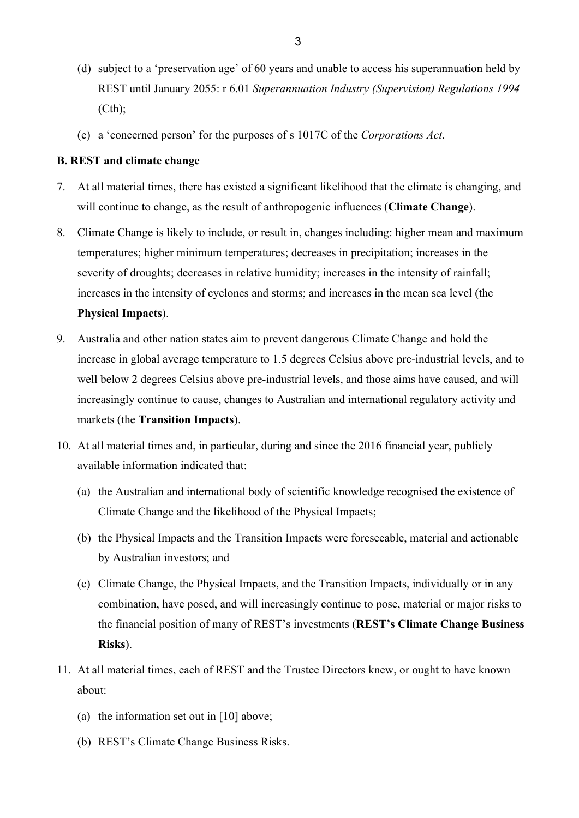- (d) subject to a 'preservation age' of 60 years and unable to access his superannuation held by REST until January 2055: r 6.01 *Superannuation Industry (Supervision) Regulations 1994*   $(Cth)$ ;
- (e) a 'concerned person' for the purposes of s 1017C of the *Corporations Act*.

### **B. REST and climate change**

- 7. At all material times, there has existed a significant likelihood that the climate is changing, and will continue to change, as the result of anthropogenic influences (**Climate Change**).
- 8. Climate Change is likely to include, or result in, changes including: higher mean and maximum temperatures; higher minimum temperatures; decreases in precipitation; increases in the severity of droughts; decreases in relative humidity; increases in the intensity of rainfall; increases in the intensity of cyclones and storms; and increases in the mean sea level (the **Physical Impacts**).
- 9. Australia and other nation states aim to prevent dangerous Climate Change and hold the increase in global average temperature to 1.5 degrees Celsius above pre-industrial levels, and to well below 2 degrees Celsius above pre-industrial levels, and those aims have caused, and will increasingly continue to cause, changes to Australian and international regulatory activity and markets (the **Transition Impacts**).
- 10. At all material times and, in particular, during and since the 2016 financial year, publicly available information indicated that:
	- (a) the Australian and international body of scientific knowledge recognised the existence of Climate Change and the likelihood of the Physical Impacts;
	- (b) the Physical Impacts and the Transition Impacts were foreseeable, material and actionable by Australian investors; and
	- (c) Climate Change, the Physical Impacts, and the Transition Impacts, individually or in any combination, have posed, and will increasingly continue to pose, material or major risks to the financial position of many of REST's investments (**REST's Climate Change Business Risks**).
- 11. At all material times, each of REST and the Trustee Directors knew, or ought to have known about:
	- (a) the information set out in [10] above;
	- (b) REST's Climate Change Business Risks.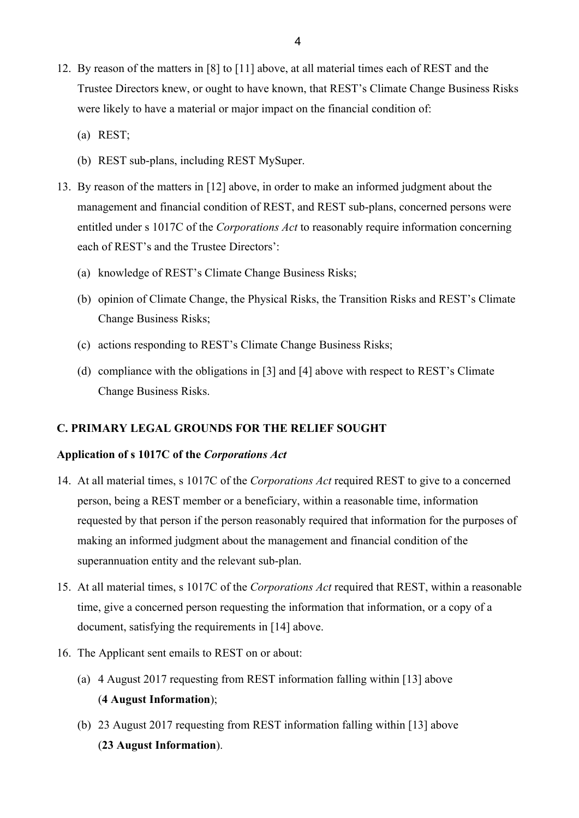- 12. By reason of the matters in [8] to [11] above, at all material times each of REST and the Trustee Directors knew, or ought to have known, that REST's Climate Change Business Risks were likely to have a material or major impact on the financial condition of:
	- (a) REST;
	- (b) REST sub-plans, including REST MySuper.
- 13. By reason of the matters in [12] above, in order to make an informed judgment about the management and financial condition of REST, and REST sub-plans, concerned persons were entitled under s 1017C of the *Corporations Act* to reasonably require information concerning each of REST's and the Trustee Directors':
	- (a) knowledge of REST's Climate Change Business Risks;
	- (b) opinion of Climate Change, the Physical Risks, the Transition Risks and REST's Climate Change Business Risks;
	- (c) actions responding to REST's Climate Change Business Risks;
	- (d) compliance with the obligations in [3] and [4] above with respect to REST's Climate Change Business Risks.

### **C. PRIMARY LEGAL GROUNDS FOR THE RELIEF SOUGHT**

### **Application of s 1017C of the** *Corporations Act*

- 14. At all material times, s 1017C of the *Corporations Act* required REST to give to a concerned person, being a REST member or a beneficiary, within a reasonable time, information requested by that person if the person reasonably required that information for the purposes of making an informed judgment about the management and financial condition of the superannuation entity and the relevant sub-plan.
- 15. At all material times, s 1017C of the *Corporations Act* required that REST, within a reasonable time, give a concerned person requesting the information that information, or a copy of a document, satisfying the requirements in [14] above.
- 16. The Applicant sent emails to REST on or about:
	- (a) 4 August 2017 requesting from REST information falling within [13] above (**4 August Information**);
	- (b) 23 August 2017 requesting from REST information falling within [13] above (**23 August Information**).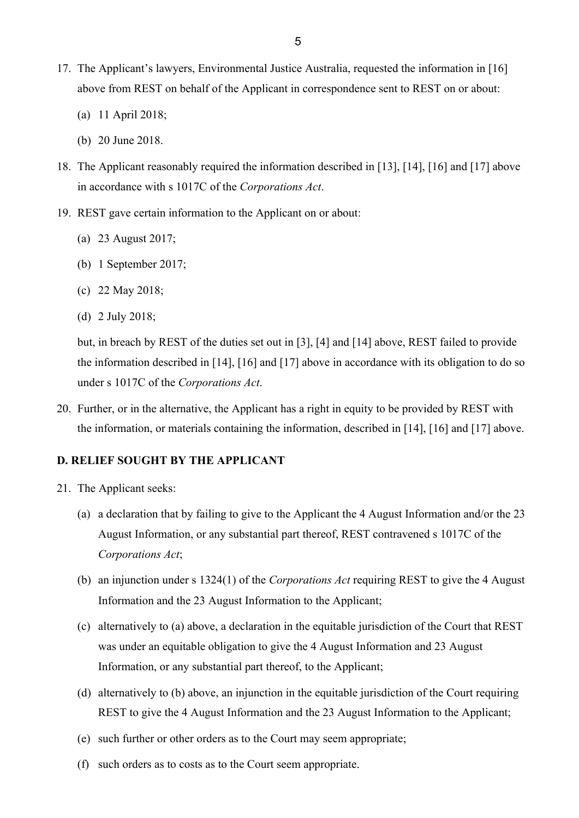- 17. The Applicant's lawyers, Environmental Justice Australia, requested the information in [16] above from REST on behalf of the Applicant in correspondence sent to REST on or about:
	- (a) 11 April 2018;
	- (b) 20 June 2018.
- 18. The Applicant reasonably required the information described in [13], [14], [16] and [17] above in accordance with s 1017C of the *Corporations Act*.
- 19. REST gave certain information to the Applicant on or about:
	- (a) 23 August 2017;
	- (b) 1 September 2017;
	- (c) 22 May 2018;
	- (d) 2 July 2018;

but, in breach by REST of the duties set out in [3], [4] and [14] above, REST failed to provide the information described in [14], [16] and [17] above in accordance with its obligation to do so under s 1017C of the *Corporations Act*.

20. Further, or in the alternative, the Applicant has a right in equity to be provided by REST with the information, or materials containing the information, described in [14], [16] and [17] above.

## **D. RELIEF SOUGHT BY THE APPLICANT**

- 21. The Applicant seeks:
	- (a) a declaration that by failing to give to the Applicant the 4 August Information and/or the 23 August Information, or any substantial part thereof, REST contravened s 1017C of the *Corporations Act*;
	- (b) an injunction under s 1324(1) of the *Corporations Act* requiring REST to give the 4 August Information and the 23 August Information to the Applicant;
	- (c) alternatively to (a) above, a declaration in the equitable jurisdiction of the Court that REST was under an equitable obligation to give the 4 August Information and 23 August Information, or any substantial part thereof, to the Applicant;
	- (d) alternatively to (b) above, an injunction in the equitable jurisdiction of the Court requiring REST to give the 4 August Information and the 23 August Information to the Applicant;
	- (e) such further or other orders as to the Court may seem appropriate;
	- (f) such orders as to costs as to the Court seem appropriate.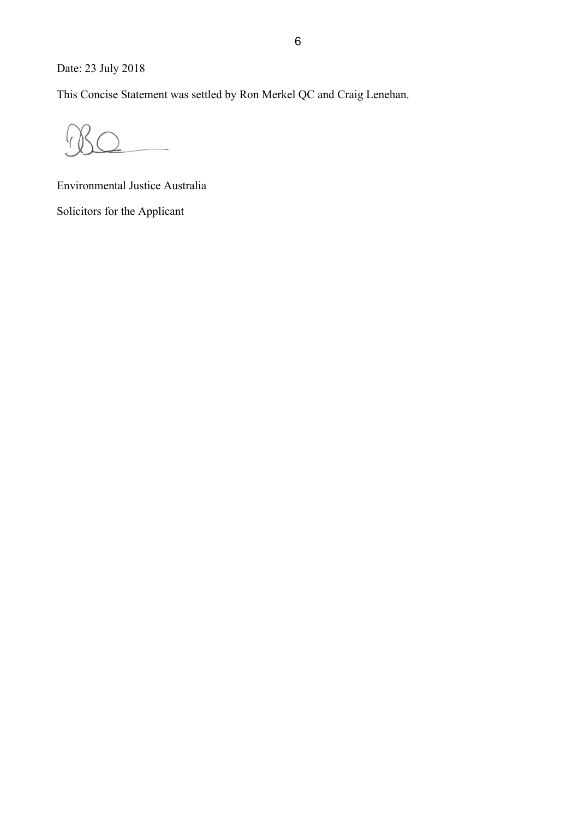Date: 23 July 2018

This Concise Statement was settled by Ron Merkel QC and Craig Lenehan.

Environmental Justice Australia

Solicitors for the Applicant